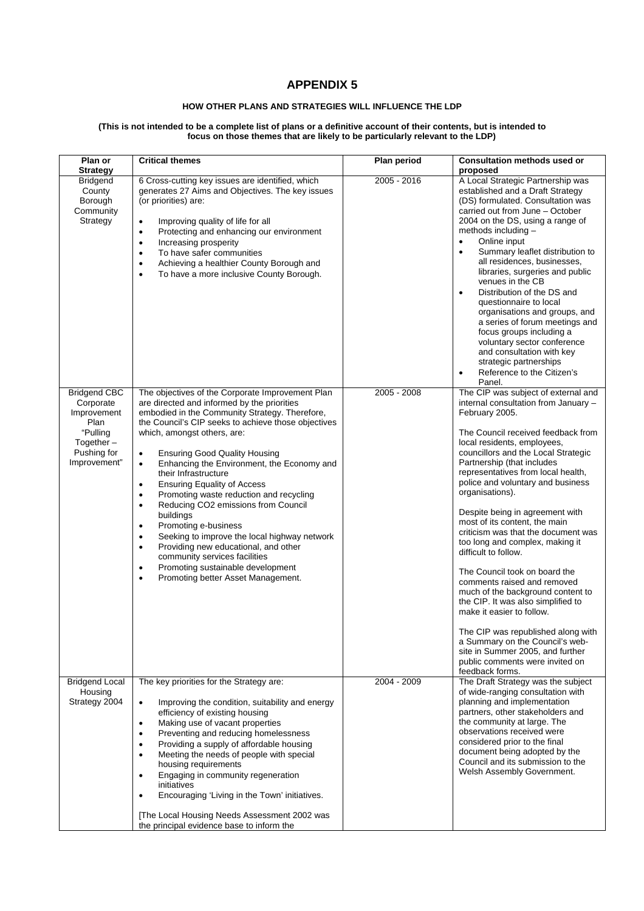## **APPENDIX 5**

## **HOW OTHER PLANS AND STRATEGIES WILL INFLUENCE THE LDP**

## **(This is not intended to be a complete list of plans or a definitive account of their contents, but is intended to focus on those themes that are likely to be particularly relevant to the LDP)**

| Plan or<br><b>Strategy</b>                                                                                         | <b>Critical themes</b>                                                                                                                                                                                                                                                                                                                                                                                                                                                                                                           | Plan period | <b>Consultation methods used or</b><br>proposed                                                                                                                                                                                                                                                                                                                                                                                                                                                                                                                                                                                                                                            |
|--------------------------------------------------------------------------------------------------------------------|----------------------------------------------------------------------------------------------------------------------------------------------------------------------------------------------------------------------------------------------------------------------------------------------------------------------------------------------------------------------------------------------------------------------------------------------------------------------------------------------------------------------------------|-------------|--------------------------------------------------------------------------------------------------------------------------------------------------------------------------------------------------------------------------------------------------------------------------------------------------------------------------------------------------------------------------------------------------------------------------------------------------------------------------------------------------------------------------------------------------------------------------------------------------------------------------------------------------------------------------------------------|
| <b>Bridgend</b><br>County<br>Borough<br>Community<br>Strategy                                                      | 6 Cross-cutting key issues are identified, which<br>generates 27 Aims and Objectives. The key issues<br>(or priorities) are:<br>Improving quality of life for all<br>$\bullet$<br>Protecting and enhancing our environment<br>$\bullet$<br>Increasing prosperity<br>$\bullet$<br>To have safer communities<br>$\bullet$<br>Achieving a healthier County Borough and<br>$\bullet$<br>To have a more inclusive County Borough.<br>$\bullet$                                                                                        | 2005 - 2016 | A Local Strategic Partnership was<br>established and a Draft Strategy<br>(DS) formulated. Consultation was<br>carried out from June - October<br>2004 on the DS, using a range of<br>methods including -<br>Online input<br>$\bullet$<br>Summary leaflet distribution to<br>$\bullet$<br>all residences, businesses,<br>libraries, surgeries and public<br>venues in the CB<br>Distribution of the DS and<br>$\bullet$<br>questionnaire to local<br>organisations and groups, and<br>a series of forum meetings and<br>focus groups including a<br>voluntary sector conference<br>and consultation with key<br>strategic partnerships<br>Reference to the Citizen's<br>$\bullet$<br>Panel. |
| <b>Bridgend CBC</b><br>Corporate<br>Improvement<br>Plan<br>"Pulling<br>Together $-$<br>Pushing for<br>Improvement" | The objectives of the Corporate Improvement Plan<br>are directed and informed by the priorities<br>embodied in the Community Strategy. Therefore,<br>the Council's CIP seeks to achieve those objectives<br>which, amongst others, are:<br><b>Ensuring Good Quality Housing</b><br>$\bullet$                                                                                                                                                                                                                                     | 2005 - 2008 | The CIP was subject of external and<br>internal consultation from January -<br>February 2005.<br>The Council received feedback from<br>local residents, employees,<br>councillors and the Local Strategic                                                                                                                                                                                                                                                                                                                                                                                                                                                                                  |
|                                                                                                                    | Enhancing the Environment, the Economy and<br>$\bullet$<br>their Infrastructure<br><b>Ensuring Equality of Access</b><br>$\bullet$<br>Promoting waste reduction and recycling<br>٠<br>Reducing CO2 emissions from Council<br>$\bullet$<br>buildings<br>Promoting e-business<br>٠<br>Seeking to improve the local highway network<br>$\bullet$<br>Providing new educational, and other<br>٠<br>community services facilities<br>Promoting sustainable development<br>$\bullet$<br>Promoting better Asset Management.<br>$\bullet$ |             | Partnership (that includes<br>representatives from local health,<br>police and voluntary and business<br>organisations).                                                                                                                                                                                                                                                                                                                                                                                                                                                                                                                                                                   |
|                                                                                                                    |                                                                                                                                                                                                                                                                                                                                                                                                                                                                                                                                  |             | Despite being in agreement with<br>most of its content, the main<br>criticism was that the document was<br>too long and complex, making it<br>difficult to follow.                                                                                                                                                                                                                                                                                                                                                                                                                                                                                                                         |
|                                                                                                                    |                                                                                                                                                                                                                                                                                                                                                                                                                                                                                                                                  |             | The Council took on board the<br>comments raised and removed<br>much of the background content to<br>the CIP. It was also simplified to<br>make it easier to follow.                                                                                                                                                                                                                                                                                                                                                                                                                                                                                                                       |
|                                                                                                                    |                                                                                                                                                                                                                                                                                                                                                                                                                                                                                                                                  |             | The CIP was republished along with<br>a Summary on the Council's web-<br>site in Summer 2005, and further<br>public comments were invited on<br>feedback forms.                                                                                                                                                                                                                                                                                                                                                                                                                                                                                                                            |
| <b>Bridgend Local</b><br>Housing                                                                                   | The key priorities for the Strategy are:                                                                                                                                                                                                                                                                                                                                                                                                                                                                                         | 2004 - 2009 | The Draft Strategy was the subject<br>of wide-ranging consultation with                                                                                                                                                                                                                                                                                                                                                                                                                                                                                                                                                                                                                    |
| Strategy 2004                                                                                                      | Improving the condition, suitability and energy<br>$\bullet$<br>efficiency of existing housing<br>Making use of vacant properties<br>$\bullet$<br>Preventing and reducing homelessness<br>٠<br>Providing a supply of affordable housing<br>$\bullet$<br>Meeting the needs of people with special<br>٠<br>housing requirements<br>Engaging in community regeneration<br>$\bullet$<br>initiatives                                                                                                                                  |             | planning and implementation<br>partners, other stakeholders and<br>the community at large. The<br>observations received were<br>considered prior to the final<br>document being adopted by the<br>Council and its submission to the<br>Welsh Assembly Government.                                                                                                                                                                                                                                                                                                                                                                                                                          |
|                                                                                                                    | Encouraging 'Living in the Town' initiatives.<br>$\bullet$<br>The Local Housing Needs Assessment 2002 was<br>the principal evidence base to inform the                                                                                                                                                                                                                                                                                                                                                                           |             |                                                                                                                                                                                                                                                                                                                                                                                                                                                                                                                                                                                                                                                                                            |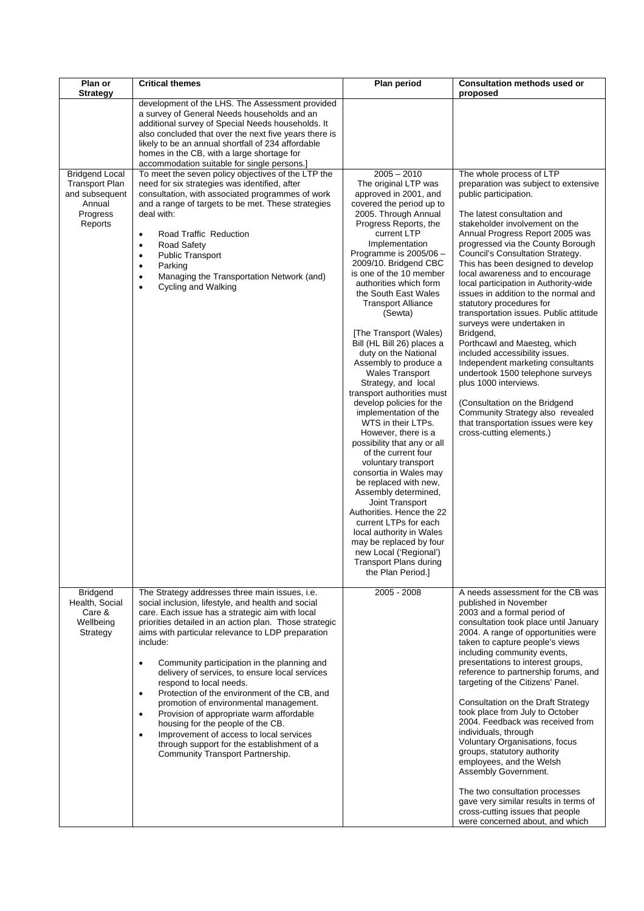| Plan or<br><b>Strategy</b>                                                                        | <b>Critical themes</b>                                                                                                                                                                                                                                                                                                                                                                                                                                                                                                                                                                                                                                                                                                                                             | Plan period                                                                                                                                                                                                                                                                                                                                                                                                                                                                                                                                                                                                                                                                                                                                                                                                                                                                                                                                                                                                              | <b>Consultation methods used or</b><br>proposed                                                                                                                                                                                                                                                                                                                                                                                                                                                                                                                                                                                                                                                                                                                                                                                                               |
|---------------------------------------------------------------------------------------------------|--------------------------------------------------------------------------------------------------------------------------------------------------------------------------------------------------------------------------------------------------------------------------------------------------------------------------------------------------------------------------------------------------------------------------------------------------------------------------------------------------------------------------------------------------------------------------------------------------------------------------------------------------------------------------------------------------------------------------------------------------------------------|--------------------------------------------------------------------------------------------------------------------------------------------------------------------------------------------------------------------------------------------------------------------------------------------------------------------------------------------------------------------------------------------------------------------------------------------------------------------------------------------------------------------------------------------------------------------------------------------------------------------------------------------------------------------------------------------------------------------------------------------------------------------------------------------------------------------------------------------------------------------------------------------------------------------------------------------------------------------------------------------------------------------------|---------------------------------------------------------------------------------------------------------------------------------------------------------------------------------------------------------------------------------------------------------------------------------------------------------------------------------------------------------------------------------------------------------------------------------------------------------------------------------------------------------------------------------------------------------------------------------------------------------------------------------------------------------------------------------------------------------------------------------------------------------------------------------------------------------------------------------------------------------------|
|                                                                                                   | development of the LHS. The Assessment provided<br>a survey of General Needs households and an<br>additional survey of Special Needs households. It<br>also concluded that over the next five years there is<br>likely to be an annual shortfall of 234 affordable<br>homes in the CB, with a large shortage for                                                                                                                                                                                                                                                                                                                                                                                                                                                   |                                                                                                                                                                                                                                                                                                                                                                                                                                                                                                                                                                                                                                                                                                                                                                                                                                                                                                                                                                                                                          |                                                                                                                                                                                                                                                                                                                                                                                                                                                                                                                                                                                                                                                                                                                                                                                                                                                               |
| <b>Bridgend Local</b><br><b>Transport Plan</b><br>and subsequent<br>Annual<br>Progress<br>Reports | accommodation suitable for single persons.]<br>To meet the seven policy objectives of the LTP the<br>need for six strategies was identified, after<br>consultation, with associated programmes of work<br>and a range of targets to be met. These strategies<br>deal with:<br>Road Traffic Reduction<br>$\bullet$<br><b>Road Safety</b><br>٠<br><b>Public Transport</b><br>٠<br>Parking<br>$\bullet$<br>Managing the Transportation Network (and)<br><b>Cycling and Walking</b><br>$\bullet$                                                                                                                                                                                                                                                                       | $2005 - 2010$<br>The original LTP was<br>approved in 2001, and<br>covered the period up to<br>2005. Through Annual<br>Progress Reports, the<br>current LTP<br>Implementation<br>Programme is $2005/06$ -<br>2009/10. Bridgend CBC<br>is one of the 10 member<br>authorities which form<br>the South East Wales<br><b>Transport Alliance</b><br>(Sewta)<br>[The Transport (Wales)<br>Bill (HL Bill 26) places a<br>duty on the National<br>Assembly to produce a<br><b>Wales Transport</b><br>Strategy, and local<br>transport authorities must<br>develop policies for the<br>implementation of the<br>WTS in their LTPs.<br>However, there is a<br>possibility that any or all<br>of the current four<br>voluntary transport<br>consortia in Wales may<br>be replaced with new,<br>Assembly determined,<br>Joint Transport<br>Authorities. Hence the 22<br>current LTPs for each<br>local authority in Wales<br>may be replaced by four<br>new Local ('Regional')<br><b>Transport Plans during</b><br>the Plan Period.] | The whole process of LTP<br>preparation was subject to extensive<br>public participation.<br>The latest consultation and<br>stakeholder involvement on the<br>Annual Progress Report 2005 was<br>progressed via the County Borough<br>Council's Consultation Strategy.<br>This has been designed to develop<br>local awareness and to encourage<br>local participation in Authority-wide<br>issues in addition to the normal and<br>statutory procedures for<br>transportation issues. Public attitude<br>surveys were undertaken in<br>Bridgend,<br>Porthcawl and Maesteg, which<br>included accessibility issues.<br>Independent marketing consultants<br>undertook 1500 telephone surveys<br>plus 1000 interviews.<br>(Consultation on the Bridgend<br>Community Strategy also revealed<br>that transportation issues were key<br>cross-cutting elements.) |
| <b>Bridgend</b><br>Health, Social<br>Care &<br>Wellbeing<br>Strategy                              | The Strategy addresses three main issues, i.e.<br>social inclusion, lifestyle, and health and social<br>care. Each issue has a strategic aim with local<br>priorities detailed in an action plan. Those strategic<br>aims with particular relevance to LDP preparation<br>include:<br>Community participation in the planning and<br>٠<br>delivery of services, to ensure local services<br>respond to local needs.<br>Protection of the environment of the CB, and<br>$\bullet$<br>promotion of environmental management.<br>Provision of appropriate warm affordable<br>$\bullet$<br>housing for the people of the CB.<br>Improvement of access to local services<br>$\bullet$<br>through support for the establishment of a<br>Community Transport Partnership. | 2005 - 2008                                                                                                                                                                                                                                                                                                                                                                                                                                                                                                                                                                                                                                                                                                                                                                                                                                                                                                                                                                                                              | A needs assessment for the CB was<br>published in November<br>2003 and a formal period of<br>consultation took place until January<br>2004. A range of opportunities were<br>taken to capture people's views<br>including community events,<br>presentations to interest groups,<br>reference to partnership forums, and<br>targeting of the Citizens' Panel.<br>Consultation on the Draft Strategy<br>took place from July to October<br>2004. Feedback was received from<br>individuals, through<br>Voluntary Organisations, focus<br>groups, statutory authority<br>employees, and the Welsh<br>Assembly Government.<br>The two consultation processes<br>gave very similar results in terms of<br>cross-cutting issues that people<br>were concerned about, and which                                                                                     |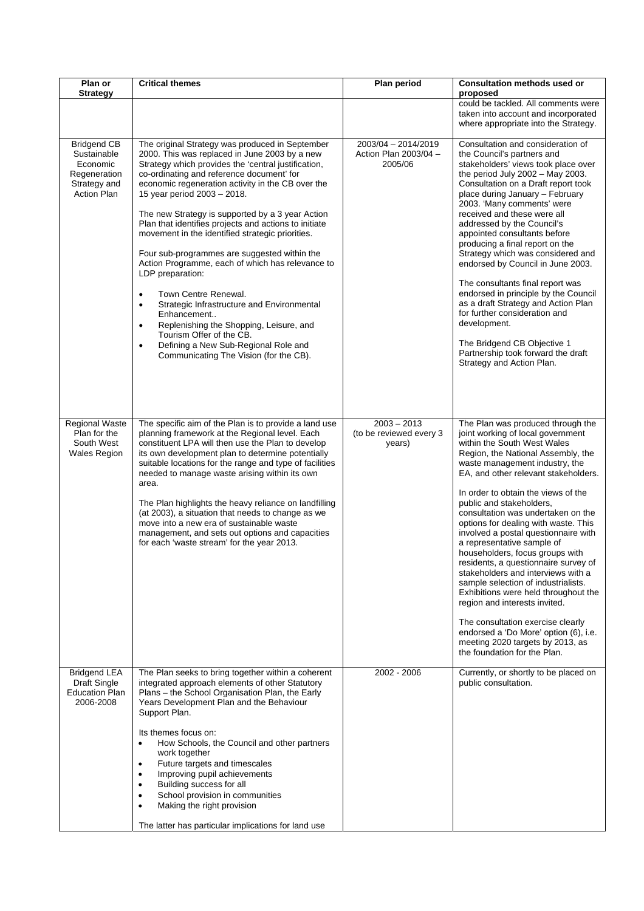| Plan or                                                                                             | <b>Critical themes</b>                                                                                                                                                                                                                                                                                                                                                                                                                                                                                                                                                                                                                                                                                                                                                                                                                                                              | <b>Plan period</b>                                      | <b>Consultation methods used or</b><br>proposed                                                                                                                                                                                                                                                                                                                                                                                                                                                                                                                                                                                                                                                                                                                                                                                 |
|-----------------------------------------------------------------------------------------------------|-------------------------------------------------------------------------------------------------------------------------------------------------------------------------------------------------------------------------------------------------------------------------------------------------------------------------------------------------------------------------------------------------------------------------------------------------------------------------------------------------------------------------------------------------------------------------------------------------------------------------------------------------------------------------------------------------------------------------------------------------------------------------------------------------------------------------------------------------------------------------------------|---------------------------------------------------------|---------------------------------------------------------------------------------------------------------------------------------------------------------------------------------------------------------------------------------------------------------------------------------------------------------------------------------------------------------------------------------------------------------------------------------------------------------------------------------------------------------------------------------------------------------------------------------------------------------------------------------------------------------------------------------------------------------------------------------------------------------------------------------------------------------------------------------|
| <b>Strategy</b>                                                                                     |                                                                                                                                                                                                                                                                                                                                                                                                                                                                                                                                                                                                                                                                                                                                                                                                                                                                                     |                                                         | could be tackled. All comments were<br>taken into account and incorporated<br>where appropriate into the Strategy.                                                                                                                                                                                                                                                                                                                                                                                                                                                                                                                                                                                                                                                                                                              |
| <b>Bridgend CB</b><br>Sustainable<br>Economic<br>Regeneration<br>Strategy and<br><b>Action Plan</b> | The original Strategy was produced in September<br>2000. This was replaced in June 2003 by a new<br>Strategy which provides the 'central justification,<br>co-ordinating and reference document' for<br>economic regeneration activity in the CB over the<br>15 year period 2003 - 2018.<br>The new Strategy is supported by a 3 year Action<br>Plan that identifies projects and actions to initiate<br>movement in the identified strategic priorities.<br>Four sub-programmes are suggested within the<br>Action Programme, each of which has relevance to<br>LDP preparation:<br>Town Centre Renewal.<br>$\bullet$<br>Strategic Infrastructure and Environmental<br>$\bullet$<br>Enhancement<br>Replenishing the Shopping, Leisure, and<br>$\bullet$<br>Tourism Offer of the CB.<br>Defining a New Sub-Regional Role and<br>$\bullet$<br>Communicating The Vision (for the CB). | 2003/04 - 2014/2019<br>Action Plan 2003/04 -<br>2005/06 | Consultation and consideration of<br>the Council's partners and<br>stakeholders' views took place over<br>the period July 2002 - May 2003.<br>Consultation on a Draft report took<br>place during January - February<br>2003. 'Many comments' were<br>received and these were all<br>addressed by the Council's<br>appointed consultants before<br>producing a final report on the<br>Strategy which was considered and<br>endorsed by Council in June 2003.<br>The consultants final report was<br>endorsed in principle by the Council<br>as a draft Strategy and Action Plan<br>for further consideration and<br>development.<br>The Bridgend CB Objective 1<br>Partnership took forward the draft<br>Strategy and Action Plan.                                                                                              |
| Regional Waste<br>Plan for the<br>South West<br><b>Wales Region</b>                                 | The specific aim of the Plan is to provide a land use<br>planning framework at the Regional level. Each<br>constituent LPA will then use the Plan to develop<br>its own development plan to determine potentially<br>suitable locations for the range and type of facilities<br>needed to manage waste arising within its own<br>area.<br>The Plan highlights the heavy reliance on landfilling<br>(at 2003), a situation that needs to change as we<br>move into a new era of sustainable waste<br>management, and sets out options and capacities<br>for each 'waste stream' for the year 2013.                                                                                                                                                                                                                                                                                   | $2003 - 2013$<br>(to be reviewed every 3<br>years)      | The Plan was produced through the<br>joint working of local government<br>within the South West Wales<br>Region, the National Assembly, the<br>waste management industry, the<br>EA, and other relevant stakeholders.<br>In order to obtain the views of the<br>public and stakeholders,<br>consultation was undertaken on the<br>options for dealing with waste. This<br>involved a postal questionnaire with<br>a representative sample of<br>householders, focus groups with<br>residents, a questionnaire survey of<br>stakeholders and interviews with a<br>sample selection of industrialists.<br>Exhibitions were held throughout the<br>region and interests invited.<br>The consultation exercise clearly<br>endorsed a 'Do More' option (6), i.e.<br>meeting 2020 targets by 2013, as<br>the foundation for the Plan. |
| <b>Bridgend LEA</b><br>Draft Single<br><b>Education Plan</b><br>2006-2008                           | The Plan seeks to bring together within a coherent<br>integrated approach elements of other Statutory<br>Plans - the School Organisation Plan, the Early<br>Years Development Plan and the Behaviour<br>Support Plan.<br>Its themes focus on:<br>How Schools, the Council and other partners<br>$\bullet$<br>work together<br>Future targets and timescales<br>٠<br>Improving pupil achievements<br>$\bullet$<br>Building success for all<br>$\bullet$<br>School provision in communities<br>٠<br>Making the right provision<br>$\bullet$<br>The latter has particular implications for land use                                                                                                                                                                                                                                                                                    | 2002 - 2006                                             | Currently, or shortly to be placed on<br>public consultation.                                                                                                                                                                                                                                                                                                                                                                                                                                                                                                                                                                                                                                                                                                                                                                   |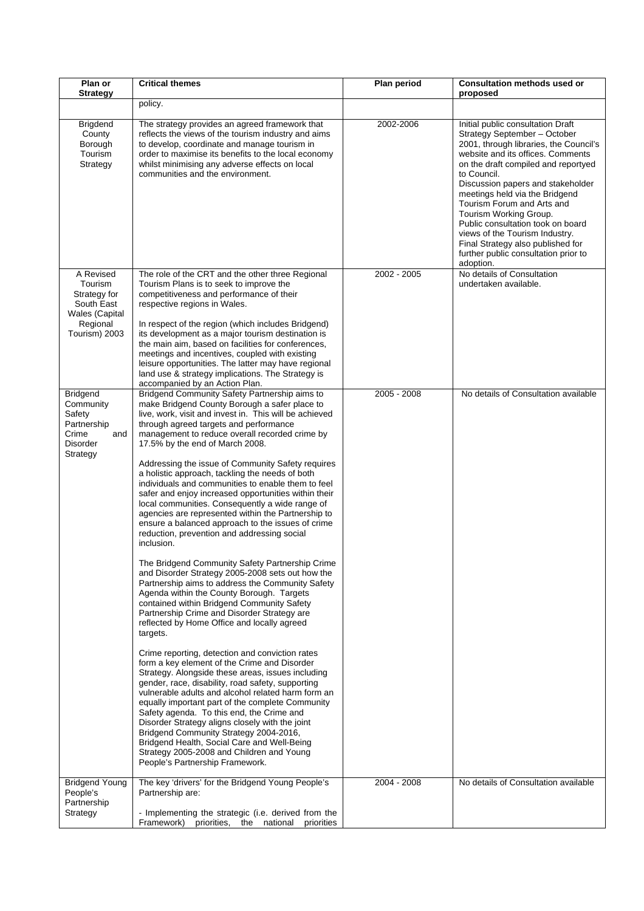| Plan or<br><b>Strategy</b>                                                                               | <b>Critical themes</b>                                                                                                                                                                                                                                                                                                                                                                                                                                                                                                                                                                                                                                                                                                                                                                                                                                                                                                                                                                                                                                                                                                                                                                                                                                                                                                                                                                                                                                                                                                                                                                                                                                                                                   | Plan period | <b>Consultation methods used or</b><br>proposed                                                                                                                                                                                                                                                                                                                                                                                                                                                        |
|----------------------------------------------------------------------------------------------------------|----------------------------------------------------------------------------------------------------------------------------------------------------------------------------------------------------------------------------------------------------------------------------------------------------------------------------------------------------------------------------------------------------------------------------------------------------------------------------------------------------------------------------------------------------------------------------------------------------------------------------------------------------------------------------------------------------------------------------------------------------------------------------------------------------------------------------------------------------------------------------------------------------------------------------------------------------------------------------------------------------------------------------------------------------------------------------------------------------------------------------------------------------------------------------------------------------------------------------------------------------------------------------------------------------------------------------------------------------------------------------------------------------------------------------------------------------------------------------------------------------------------------------------------------------------------------------------------------------------------------------------------------------------------------------------------------------------|-------------|--------------------------------------------------------------------------------------------------------------------------------------------------------------------------------------------------------------------------------------------------------------------------------------------------------------------------------------------------------------------------------------------------------------------------------------------------------------------------------------------------------|
|                                                                                                          | policy.                                                                                                                                                                                                                                                                                                                                                                                                                                                                                                                                                                                                                                                                                                                                                                                                                                                                                                                                                                                                                                                                                                                                                                                                                                                                                                                                                                                                                                                                                                                                                                                                                                                                                                  |             |                                                                                                                                                                                                                                                                                                                                                                                                                                                                                                        |
| <b>Brigdend</b><br>County<br>Borough<br>Tourism<br>Strategy                                              | The strategy provides an agreed framework that<br>reflects the views of the tourism industry and aims<br>to develop, coordinate and manage tourism in<br>order to maximise its benefits to the local economy<br>whilst minimising any adverse effects on local<br>communities and the environment.                                                                                                                                                                                                                                                                                                                                                                                                                                                                                                                                                                                                                                                                                                                                                                                                                                                                                                                                                                                                                                                                                                                                                                                                                                                                                                                                                                                                       | 2002-2006   | Initial public consultation Draft<br>Strategy September - October<br>2001, through libraries, the Council's<br>website and its offices. Comments<br>on the draft compiled and reportyed<br>to Council.<br>Discussion papers and stakeholder<br>meetings held via the Bridgend<br>Tourism Forum and Arts and<br>Tourism Working Group.<br>Public consultation took on board<br>views of the Tourism Industry.<br>Final Strategy also published for<br>further public consultation prior to<br>adoption. |
| A Revised<br>Tourism<br>Strategy for<br>South East<br><b>Wales</b> (Capital<br>Regional<br>Tourism) 2003 | The role of the CRT and the other three Regional<br>Tourism Plans is to seek to improve the<br>competitiveness and performance of their<br>respective regions in Wales.<br>In respect of the region (which includes Bridgend)<br>its development as a major tourism destination is<br>the main aim, based on facilities for conferences,<br>meetings and incentives, coupled with existing<br>leisure opportunities. The latter may have regional<br>land use & strategy implications. The Strategy is<br>accompanied by an Action Plan.                                                                                                                                                                                                                                                                                                                                                                                                                                                                                                                                                                                                                                                                                                                                                                                                                                                                                                                                                                                                                                                                                                                                                                 | 2002 - 2005 | No details of Consultation<br>undertaken available.                                                                                                                                                                                                                                                                                                                                                                                                                                                    |
| <b>Bridgend</b><br>Community<br>Safety<br>Partnership<br>Crime<br>and<br><b>Disorder</b><br>Strategy     | Bridgend Community Safety Partnership aims to<br>make Bridgend County Borough a safer place to<br>live, work, visit and invest in. This will be achieved<br>through agreed targets and performance<br>management to reduce overall recorded crime by<br>17.5% by the end of March 2008.<br>Addressing the issue of Community Safety requires<br>a holistic approach, tackling the needs of both<br>individuals and communities to enable them to feel<br>safer and enjoy increased opportunities within their<br>local communities. Consequently a wide range of<br>agencies are represented within the Partnership to<br>ensure a balanced approach to the issues of crime<br>reduction, prevention and addressing social<br>inclusion.<br>The Bridgend Community Safety Partnership Crime<br>and Disorder Strategy 2005-2008 sets out how the<br>Partnership aims to address the Community Safety<br>Agenda within the County Borough. Targets<br>contained within Bridgend Community Safety<br>Partnership Crime and Disorder Strategy are<br>reflected by Home Office and locally agreed<br>targets.<br>Crime reporting, detection and conviction rates<br>form a key element of the Crime and Disorder<br>Strategy. Alongside these areas, issues including<br>gender, race, disability, road safety, supporting<br>vulnerable adults and alcohol related harm form an<br>equally important part of the complete Community<br>Safety agenda. To this end, the Crime and<br>Disorder Strategy aligns closely with the joint<br>Bridgend Community Strategy 2004-2016,<br>Bridgend Health, Social Care and Well-Being<br>Strategy 2005-2008 and Children and Young<br>People's Partnership Framework. | 2005 - 2008 | No details of Consultation available                                                                                                                                                                                                                                                                                                                                                                                                                                                                   |
| <b>Bridgend Young</b><br>People's<br>Partnership<br>Strategy                                             | The key 'drivers' for the Bridgend Young People's<br>Partnership are:<br>- Implementing the strategic (i.e. derived from the<br>Framework) priorities, the national priorities                                                                                                                                                                                                                                                                                                                                                                                                                                                                                                                                                                                                                                                                                                                                                                                                                                                                                                                                                                                                                                                                                                                                                                                                                                                                                                                                                                                                                                                                                                                           | 2004 - 2008 | No details of Consultation available                                                                                                                                                                                                                                                                                                                                                                                                                                                                   |